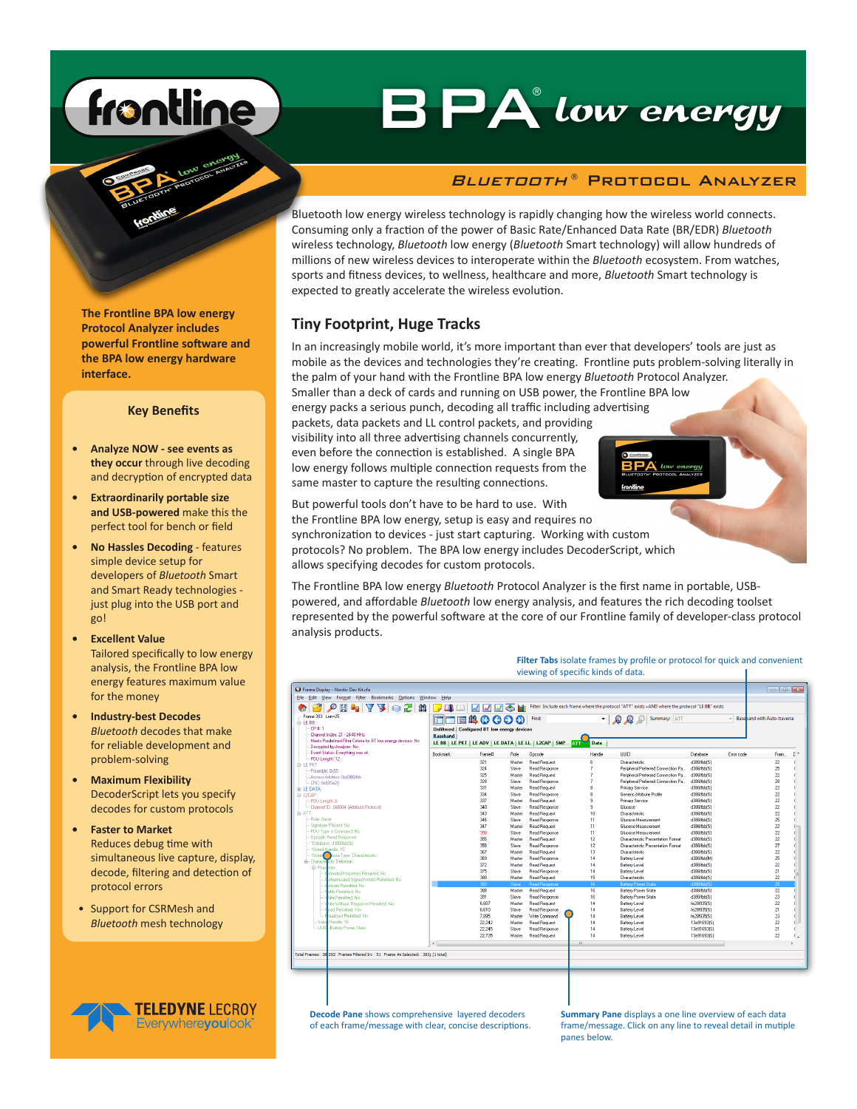# frontline

## BPA low energy ®

#### *Bluetooth* ® Protocol Analyzer

Bluetooth low energy wireless technology is rapidly changing how the wireless world connects. Consuming only a fraction of the power of Basic Rate/Enhanced Data Rate (BR/EDR) *Bluetooth* wireless technology, *Bluetooth* low energy (*Bluetooth* Smart technology) will allow hundreds of millions of new wireless devices to interoperate within the *Bluetooth* ecosystem. From watches, sports and fitness devices, to wellness, healthcare and more, *Bluetooth* Smart technology is expected to greatly accelerate the wireless evolution.

#### **Tiny Footprint, Huge Tracks**

In an increasingly mobile world, it's more important than ever that developers' tools are just as mobile as the devices and technologies they're creating. Frontline puts problem-solving literally in the palm of your hand with the Frontline BPA low energy *Bluetooth* Protocol Analyzer.

Smaller than a deck of cards and running on USB power, the Frontline BPA low energy packs a serious punch, decoding all traffic including advertising packets, data packets and LL control packets, and providing visibility into all three advertising channels concurrently, even before the connection is established. A single BPA low energy follows multiple connection requests from the same master to capture the resulting connections.

But powerful tools don't have to be hard to use. With the Frontline BPA low energy, setup is easy and requires no synchronization to devices - just start capturing. Working with custom protocols? No problem. The BPA low energy includes DecoderScript, which allows specifying decodes for custom protocols.

The Frontline BPA low energy *Bluetooth* Protocol Analyzer is the first name in portable, USBpowered, and affordable *Bluetooth* low energy analysis, and features the rich decoding toolset represented by the powerful software at the core of our Frontline family of developer-class protocol analysis products.

> **Filter Tabs** isolate frames by profile or protocol for quick and convenient viewing of specific kinds of data.  $\mathbf{I}$

| - Frame 383: Len=25<br>-LE BB:<br>CP # 1<br>- Channel Index: 21 - 2448 MHz<br>Meets Predefined Filter Criteria for BT low energy devices: No<br>Decivoted by Analyzer, No. | <b>MIBSCCOO</b><br>· <b>Q</b> Q Summary: ATT<br><b>Baseband with Auto-traverse</b><br>Find:<br>Unfiltered   Configured BT low energy devices<br><b>Baseband</b><br>LE BB   LE PKT   LE ADV   LE DATA   LE LL   L2CAP   SMP<br><b>ATT</b><br>Data |        |        |                      |                |                                    |                  |           |                 |
|----------------------------------------------------------------------------------------------------------------------------------------------------------------------------|--------------------------------------------------------------------------------------------------------------------------------------------------------------------------------------------------------------------------------------------------|--------|--------|----------------------|----------------|------------------------------------|------------------|-----------|-----------------|
| Event Status: Everything was ok.                                                                                                                                           | <b>Rockmark</b>                                                                                                                                                                                                                                  | Frame# | Role   | Opcode               | Handle         | TILID.                             | Database         | Free code | Fram            |
| - PDU Length: 12                                                                                                                                                           |                                                                                                                                                                                                                                                  | 321    | Master | <b>Read Request</b>  | 6              | Characteristic                     | d386ffbbfS1      |           | $22\,$          |
| <b>A-LE PKT:</b><br>Preamble: 0x55                                                                                                                                         |                                                                                                                                                                                                                                                  | 324    | Slave  | Read Response        | $\overline{7}$ | Peripheral Preferred Connection Pa | d386ffbb(S)      |           | 25              |
| - Access Address: 0xd386ffbb                                                                                                                                               |                                                                                                                                                                                                                                                  | 325    | Master | <b>Read Request</b>  | 7              | Peripheral Preferred Connection Pa | d386ffbb(S)      |           | 22              |
| - CBC 0x925x20                                                                                                                                                             |                                                                                                                                                                                                                                                  | 328    | Slave  | <b>Bead Besonnse</b> | 7              | Peripheral Preferred Connection Pa | d386ffbb(S)      |           | 28              |
| <b>i-LE DATA:</b>                                                                                                                                                          |                                                                                                                                                                                                                                                  | 331    | Master | <b>Read Request</b>  | Ŕ              | Primary Service                    | d396ffbbfS1      |           | 22              |
|                                                                                                                                                                            |                                                                                                                                                                                                                                                  | 334    | Slave  | <b>Read Response</b> | Ŕ              | Generic Attribute Profile          | d386ffbb[S]      |           | 22              |
| - PDU Length: 6                                                                                                                                                            |                                                                                                                                                                                                                                                  | 337    | Master | <b>Read Request</b>  | $\overline{a}$ | Primary Service                    | d386ffbb(S)      |           | 22              |
| - Channel ID: 0x0004 (Attribute Protocol)                                                                                                                                  |                                                                                                                                                                                                                                                  | 340    | Slave  | <b>Bead Besonnee</b> | 9              | Glucose                            | d386ffbb(S)      |           | 22              |
|                                                                                                                                                                            |                                                                                                                                                                                                                                                  | 343    | Master | <b>Read Request</b>  | 10             | Characteristic                     | d386ffbb(S)      |           | 22              |
| - Role: Slave                                                                                                                                                              |                                                                                                                                                                                                                                                  | 346    | Slave  | Read Response        | 11             | <b>Glucose Measurement</b>         | d396ffbbfS1      |           | 25              |
| -- Signature Present: No                                                                                                                                                   |                                                                                                                                                                                                                                                  | 347    | Master | <b>Read Request</b>  | 11             | Glucose Measurement                | d396ffbb[S]      |           | 22              |
| - PDU Tupe is Command: No                                                                                                                                                  |                                                                                                                                                                                                                                                  | 350    | Slave  | <b>Read Response</b> | 11             | <b>Glucose Measurement</b>         | d386ffbb[S]      |           | 22              |
| - Opcode: Read Response                                                                                                                                                    |                                                                                                                                                                                                                                                  | 355    | Master | Read Request         | 12             | Characteristic Presentation Format | d386ffbb(S)      |           | 22              |
| - *Database: d386ffbbfS1                                                                                                                                                   |                                                                                                                                                                                                                                                  | 358    | Slave  | Read Response        | 12             | Characteristic Presentation Format | d386ffbb(S)      |           | 27              |
| - "Stored Handle: 15<br><sup>2</sup> Store Tube Type: Characteristic                                                                                                       |                                                                                                                                                                                                                                                  | 367    | Master | <b>Read Request</b>  | 13             | Characteristic                     | d386ffbbfS1      |           | $22\,$          |
| <b>E</b> - Character stic Definition                                                                                                                                       |                                                                                                                                                                                                                                                  | 369    | Master | <b>Read Response</b> | 14             | Battery Level                      | d396ffbb(M)      |           | 25              |
| <b>A</b> - Properties                                                                                                                                                      |                                                                                                                                                                                                                                                  | 372    | Master | <b>Read Request</b>  | 14             | <b>Battery Level</b>               | d396ffbb[S]      |           | 22              |
| - Estended Properties Permitted: No                                                                                                                                        |                                                                                                                                                                                                                                                  | 375    | Slave  | Read Response        | 14             | Battery Level                      | d386ffbb(S)      |           | 21              |
| -- Authenticated Signed Writes Permitted: No                                                                                                                               |                                                                                                                                                                                                                                                  | 380    | Master | <b>Read Request</b>  | 15             | Characteristic                     | d386ffbb(S)      |           | 22              |
| - Indicate Permitted: No                                                                                                                                                   |                                                                                                                                                                                                                                                  | 383    | Slave  | <b>Bead Besonnee</b> | 16             | <b>Battery Power State</b>         | <b>8380bb(S)</b> |           | 25              |
| -- Notify Permitted: No.                                                                                                                                                   |                                                                                                                                                                                                                                                  | 388    | Master | <b>Read Request</b>  | 16             | <b>Battery Power State</b>         | d396ffbbfS1      |           | $\overline{22}$ |
| - Vrite Permited: No.                                                                                                                                                      |                                                                                                                                                                                                                                                  | 391    | Slave  | <b>Read Response</b> | 16             | <b>Battery Power State</b>         | d386ffbb[S]      |           | 23              |
| -- Vrite Without Response Permitted: No.                                                                                                                                   |                                                                                                                                                                                                                                                  | 6.607  | Master | <b>Read Request</b>  | 14             | Battery Level                      | fe28f935(S)      |           | 22              |
| <b>Finad Permitted: Yes</b>                                                                                                                                                |                                                                                                                                                                                                                                                  | 6.610  | Slave  | Read Response        | 14             | Battery Level                      | fe28f935(S)      |           | 21              |
| - Froadcast Pemitted: No.                                                                                                                                                  |                                                                                                                                                                                                                                                  | 7,895  | Master | Write Command        | 14             | Battery Level                      | fe28f935(S)      |           | $^{23}$         |
| -Value Handle: 16                                                                                                                                                          |                                                                                                                                                                                                                                                  | 22.242 | Master | <b>Read Request</b>  | 14             | Battery Level                      | 13e91693(S)      |           | 22              |
| -- UUID: Battery Power State                                                                                                                                               |                                                                                                                                                                                                                                                  | 22.245 | Slave  | <b>Read Response</b> | 14             | <b>Battery Level</b>               | 13e91693(S)      |           | 21              |
|                                                                                                                                                                            |                                                                                                                                                                                                                                                  | 22,735 | Master | <b>Read Request</b>  | 14             | Battery Level                      | 13e91693(S)      |           | 22              |
|                                                                                                                                                                            | $\epsilon$                                                                                                                                                                                                                                       |        |        |                      | $\mathbf{m}$   |                                    |                  |           |                 |

**Decode Pane** shows comprehensive layered decoders of each frame/message with clear, concise descriptions.

**Summary Pane** displays a one line overview of each data frame/message. Click on any line to reveal detail in mutiple panes below.

**The Frontline BPA low energy Protocol Analyzer includes powerful Frontline software and the BPA low energy hardware interface.**

#### **Key Benefits**

- **• Analyze NOW see events as they occur** through live decoding and decryption of encrypted data
- **• Extraordinarily portable size and USB-powered** make this the perfect tool for bench or field
- **• No Hassles Decoding**  features simple device setup for developers of *Bluetooth* Smart and Smart Ready technologies just plug into the USB port and go!
- **• Excellent Value** Tailored specifically to low energy analysis, the Frontline BPA low energy features maximum value for the money
- **• Industry-best Decodes** *Bluetooth* decodes that make for reliable development and problem-solving
- **• Maximum Flexibility** DecoderScript lets you specify decodes for custom protocols
- **• Faster to Market** Reduces debug time with simultaneous live capture, display, decode, filtering and detection of protocol errors
- Support for CSRMesh and *Bluetooth* mesh technology

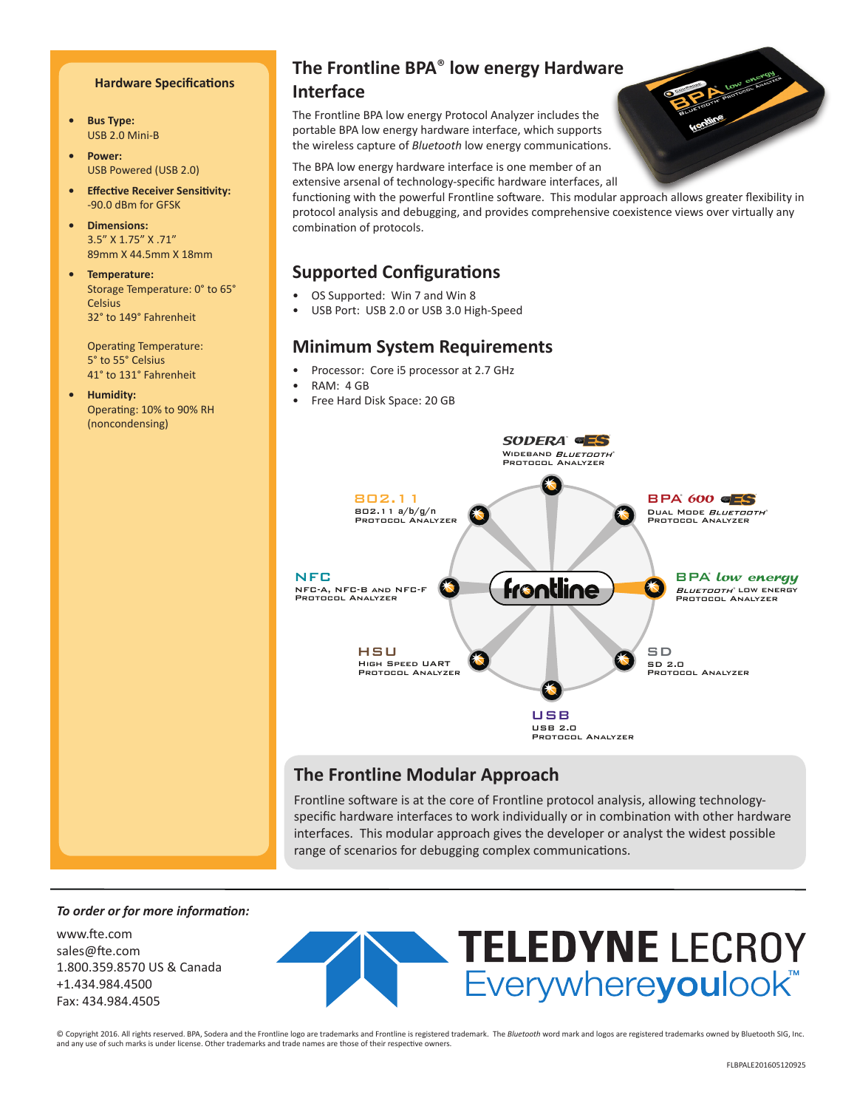#### **Hardware Specifications**

- **• Bus Type:** USB 2.0 Mini-B
- **• Power:** USB Powered (USB 2.0)
- **• Effective Receiver Sensitivity:** -90.0 dBm for GFSK
- **• Dimensions:** 3.5" X 1.75" X .71" 89mm X 44.5mm X 18mm
- **• Temperature:** Storage Temperature: 0° to 65° **Celsius** 32° to 149° Fahrenheit

Operating Temperature: 5° to 55° Celsius 41° to 131° Fahrenheit

**• Humidity:** Operating: 10% to 90% RH (noncondensing)

#### **The Frontline BPA**® **low energy Hardware**

#### **Interface**

The Frontline BPA low energy Protocol Analyzer includes the portable BPA low energy hardware interface, which supports the wireless capture of *Bluetooth* low energy communications.

The BPA low energy hardware interface is one member of an extensive arsenal of technology-specific hardware interfaces, all

functioning with the powerful Frontline software. This modular approach allows greater flexibility in protocol analysis and debugging, and provides comprehensive coexistence views over virtually any combination of protocols.

#### **Supported Configurations**

- OS Supported: Win 7 and Win 8
- USB Port: USB 2.0 or USB 3.0 High-Speed

#### **Minimum System Requirements**

- Processor: Core i5 processor at 2.7 GHz
- RAM: 4 GB
- Free Hard Disk Space: 20 GB



#### **The Frontline Modular Approach**

Frontline software is at the core of Frontline protocol analysis, allowing technologyspecific hardware interfaces to work individually or in combination with other hardware interfaces. This modular approach gives the developer or analyst the widest possible range of scenarios for debugging complex communications.

#### *To order or for more information:*

www.fte.com sales@fte.com 1.800.359.8570 US & Canada +1.434.984.4500 Fax: 434.984.4505



© Copyright 2016. All rights reserved. BPA, Sodera and the Frontline logo are trademarks and Frontline is registered trademark. The *Bluetooth* word mark and logos are registered trademarks owned by Bluetooth SIG, Inc. and any use of such marks is under license. Other trademarks and trade names are those of their respective owners.